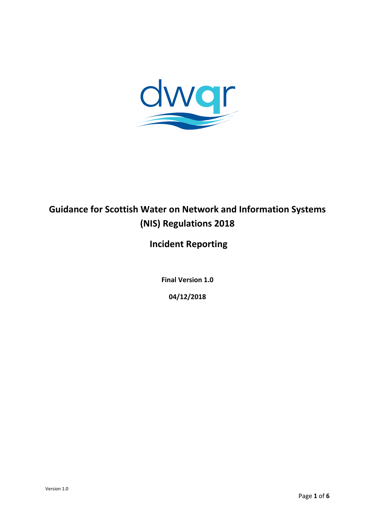

# **Guidance for Scottish Water on Network and Information Systems (NIS) Regulations 2018**

## **Incident Reporting**

**Final Version 1.0**

**04/12/2018**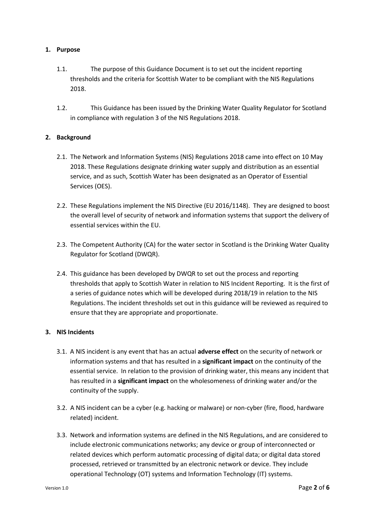#### **1. Purpose**

- 1.1. The purpose of this Guidance Document is to set out the incident reporting thresholds and the criteria for Scottish Water to be compliant with the NIS Regulations 2018.
- 1.2. This Guidance has been issued by the Drinking Water Quality Regulator for Scotland in compliance with regulation 3 of the NIS Regulations 2018.

#### **2. Background**

- 2.1. The Network and Information Systems (NIS) Regulations 2018 came into effect on 10 May 2018. These Regulations designate drinking water supply and distribution as an essential service, and as such, Scottish Water has been designated as an Operator of Essential Services (OES).
- 2.2. These Regulations implement the NIS Directive (EU 2016/1148). They are designed to boost the overall level of security of network and information systems that support the delivery of essential services within the EU.
- 2.3. The Competent Authority (CA) for the water sector in Scotland is the Drinking Water Quality Regulator for Scotland (DWQR).
- 2.4. This guidance has been developed by DWQR to set out the process and reporting thresholds that apply to Scottish Water in relation to NIS Incident Reporting. It is the first of a series of guidance notes which will be developed during 2018/19 in relation to the NIS Regulations. The incident thresholds set out in this guidance will be reviewed as required to ensure that they are appropriate and proportionate.

#### **3. NIS Incidents**

- 3.1. A NIS incident is any event that has an actual **adverse effect** on the security of network or information systems and that has resulted in a **significant impact** on the continuity of the essential service. In relation to the provision of drinking water, this means any incident that has resulted in a **significant impact** on the wholesomeness of drinking water and/or the continuity of the supply.
- 3.2. A NIS incident can be a cyber (e.g. hacking or malware) or non-cyber (fire, flood, hardware related) incident.
- 3.3. Network and information systems are defined in the NIS Regulations, and are considered to include electronic communications networks; any device or group of interconnected or related devices which perform automatic processing of digital data; or digital data stored processed, retrieved or transmitted by an electronic network or device. They include operational Technology (OT) systems and Information Technology (IT) systems.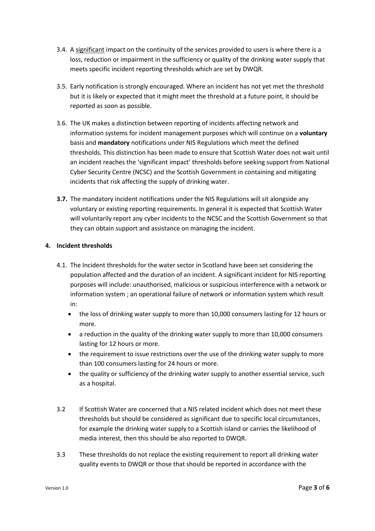- 3.4. A significant impact on the continuity of the services provided to users is where there is a loss, reduction or impairment in the sufficiency or quality of the drinking water supply that meets specific incident reporting thresholds which are set by DWQR.
- 3.5. Early notification is strongly encouraged. Where an incident has not yet met the threshold but it is likely or expected that it might meet the threshold at a future point, it should be reported as soon as possible.
- 3.6. The UK makes a distinction between reporting of incidents affecting network and information systems for incident management purposes which will continue on a **voluntary** basis and **mandatory** notifications under NIS Regulations which meet the defined thresholds. This distinction has been made to ensure that Scottish Water does not wait until an incident reaches the 'significant impact' thresholds before seeking support from National Cyber Security Centre (NCSC) and the Scottish Government in containing and mitigating incidents that risk affecting the supply of drinking water.
- **3.7.** The mandatory incident notifications under the NIS Regulations will sit alongside any voluntary or existing reporting requirements. In general it is expected that Scottish Water will voluntarily report any cyber incidents to the NCSC and the Scottish Government so that they can obtain support and assistance on managing the incident.

#### **4. Incident thresholds**

- 4.1. The Incident thresholds for the water sector in Scotland have been set considering the population affected and the duration of an incident. A significant incident for NIS reporting purposes will include: unauthorised, malicious or suspicious interference with a network or information system ; an operational failure of network or information system which result in:
	- the loss of drinking water supply to more than 10,000 consumers lasting for 12 hours or more.
	- a reduction in the quality of the drinking water supply to more than 10,000 consumers lasting for 12 hours or more.
	- the requirement to issue restrictions over the use of the drinking water supply to more than 100 consumers lasting for 24 hours or more.
	- the quality or sufficiency of the drinking water supply to another essential service, such as a hospital.
- 3.2 If Scottish Water are concerned that a NIS related incident which does not meet these thresholds but should be considered as significant due to specific local circumstances, for example the drinking water supply to a Scottish island or carries the likelihood of media interest, then this should be also reported to DWQR.
- 3.3 These thresholds do not replace the existing requirement to report all drinking water quality events to DWQR or those that should be reported in accordance with the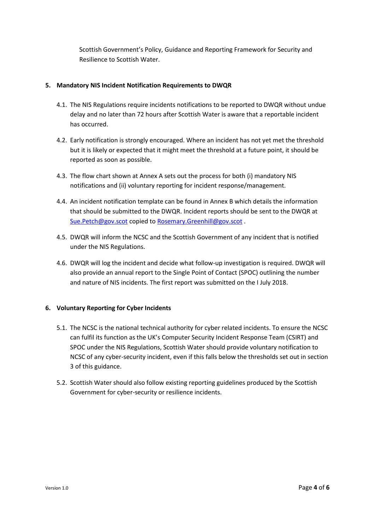Scottish Government's Policy, Guidance and Reporting Framework for Security and Resilience to Scottish Water.

#### **5. Mandatory NIS Incident Notification Requirements to DWQR**

- 4.1. The NIS Regulations require incidents notifications to be reported to DWQR without undue delay and no later than 72 hours after Scottish Water is aware that a reportable incident has occurred.
- 4.2. Early notification is strongly encouraged. Where an incident has not yet met the threshold but it is likely or expected that it might meet the threshold at a future point, it should be reported as soon as possible.
- 4.3. The flow chart shown at Annex A sets out the process for both (i) mandatory NIS notifications and (ii) voluntary reporting for incident response/management.
- 4.4. An incident notification template can be found in Annex B which details the information that should be submitted to the DWQR. Incident reports should be sent to the DWQR at [Sue.Petch@gov.scot](mailto:Sue.Petch@gov.scot) copied t[o Rosemary.Greenhill@gov.scot](mailto:Rosemary.Greenhill@gov.scot) .
- 4.5. DWQR will inform the NCSC and the Scottish Government of any incident that is notified under the NIS Regulations.
- 4.6. DWQR will log the incident and decide what follow-up investigation is required. DWQR will also provide an annual report to the Single Point of Contact (SPOC) outlining the number and nature of NIS incidents. The first report was submitted on the I July 2018.

#### **6. Voluntary Reporting for Cyber Incidents**

- 5.1. The NCSC is the national technical authority for cyber related incidents. To ensure the NCSC can fulfil its function as the UK's Computer Security Incident Response Team (CSIRT) and SPOC under the NIS Regulations, Scottish Water should provide voluntary notification to NCSC of any cyber-security incident, even if this falls below the thresholds set out in section 3 of this guidance.
- 5.2. Scottish Water should also follow existing reporting guidelines produced by the Scottish Government for cyber-security or resilience incidents.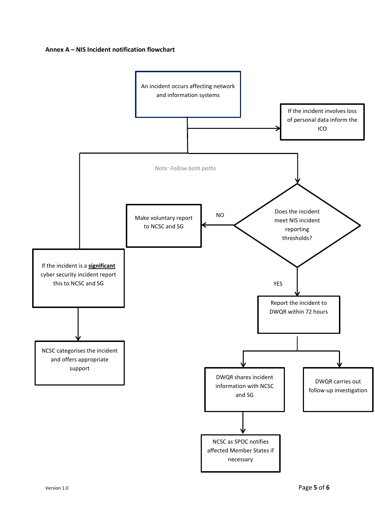#### **Annex A – NIS Incident notification flowchart**